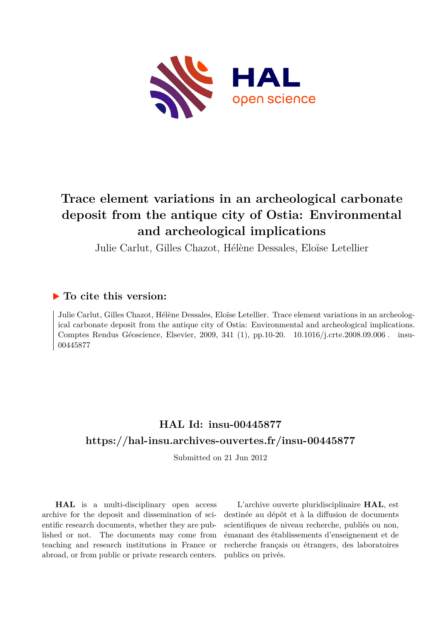

# **Trace element variations in an archeological carbonate deposit from the antique city of Ostia: Environmental and archeological implications**

Julie Carlut, Gilles Chazot, Hélène Dessales, Eloïse Letellier

### **To cite this version:**

Julie Carlut, Gilles Chazot, Hélène Dessales, Eloïse Letellier. Trace element variations in an archeological carbonate deposit from the antique city of Ostia: Environmental and archeological implications. Comptes Rendus Géoscience, Elsevier, 2009, 341 (1), pp.10-20. 10.1016/j.crte.2008.09.006. insu-00445877

## **HAL Id: insu-00445877 <https://hal-insu.archives-ouvertes.fr/insu-00445877>**

Submitted on 21 Jun 2012

**HAL** is a multi-disciplinary open access archive for the deposit and dissemination of scientific research documents, whether they are published or not. The documents may come from teaching and research institutions in France or abroad, or from public or private research centers.

L'archive ouverte pluridisciplinaire **HAL**, est destinée au dépôt et à la diffusion de documents scientifiques de niveau recherche, publiés ou non, émanant des établissements d'enseignement et de recherche français ou étrangers, des laboratoires publics ou privés.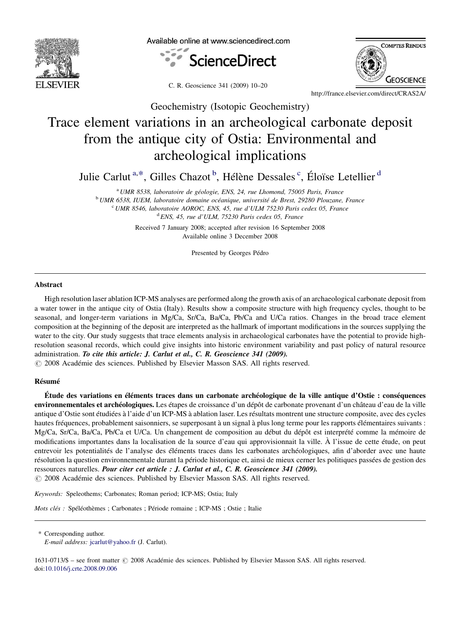

Available online at www.sciencedirect.com



C. R. Geoscience 341 (2009) 10–20

**COMPTES RENDUS** GEOSCIENCE

http://france.elsevier.com/direct/CRAS2A/

## Trace element variations in an archeological carbonate deposit from the antique city of Ostia: Environmental and archeological implications

Geochemistry (Isotopic Geochemistry)

Julie Carlut<sup>a,\*</sup>, Gilles Chazot<sup>b</sup>, Hélène Dessales<sup>c</sup>, Éloïse Letellier<sup>d</sup>

<sup>a</sup> UMR 8538, laboratoire de géologie, ENS, 24, rue Lhomond, 75005 Paris, France <sup>b</sup> UMR 6538, IUEM, laboratoire domaine océanique, université de Brest, 29280 Plouzane, France <sup>c</sup> UMR 8546, laboratoire AOROC, ENS, 45, rue d'ULM 75230 Paris cedex 05, France d ENS, 45, rue d'ULM, 75230 Paris cedex 05, France

> Received 7 January 2008; accepted after revision 16 September 2008 Available online 3 December 2008

> > Presented by Georges Pédro

#### Abstract

High resolution laser ablation ICP-MS analyses are performed along the growth axis of an archaeological carbonate deposit from a water tower in the antique city of Ostia (Italy). Results show a composite structure with high frequency cycles, thought to be seasonal, and longer-term variations in Mg/Ca, Sr/Ca, Ba/Ca, Pb/Ca and U/Ca ratios. Changes in the broad trace element composition at the beginning of the deposit are interpreted as the hallmark of important modifications in the sources supplying the water to the city. Our study suggests that trace elements analysis in archaeological carbonates have the potential to provide highresolution seasonal records, which could give insights into historic environment variability and past policy of natural resource administration. *To cite this article: J. Carlut et al., C. R. Geoscience 341 (2009).*

 $\odot$  2008 Académie des sciences. Published by Elsevier Masson SAS. All rights reserved.

#### Résumé

Étude des variations en éléments traces dans un carbonate archéologique de la ville antique d'Ostie : conséquences environnementales et archéologiques. Les étapes de croissance d'un dépôt de carbonate provenant d'un château d'eau de la ville antique d'Ostie sont étudiées à l'aide d'un ICP-MS à ablation laser. Les résultats montrent une structure composite, avec des cycles hautes fréquences, probablement saisonniers, se superposant à un signal à plus long terme pour les rapports élémentaires suivants : Mg/Ca, Sr/Ca, Ba/Ca, Pb/Ca et U/Ca. Un changement de composition au début du dépôt est interprété comme la mémoire de modifications importantes dans la localisation de la source d'eau qui approvisionnait la ville. À l'issue de cette étude, on peut entrevoir les potentialités de l'analyse des éléments traces dans les carbonates archéologiques, afin d'aborder avec une haute résolution la question environnementale durant la période historique et, ainsi de mieux cerner les politiques passées de gestion des ressources naturelles. *Pour citer cet article : J. Carlut et al., C. R. Geoscience 341 (2009).*

 $\odot$  2008 Académie des sciences. Published by Elsevier Masson SAS. All rights reserved.

Keywords: Speleothems; Carbonates; Roman period; ICP-MS; Ostia; Italy

Mots clés : Spéléothèmes ; Carbonates ; Période romaine ; ICP-MS ; Ostie ; Italie

\* Corresponding author.

E-mail address: [jcarlut@yahoo.fr](mailto:jcarlut@yahoo.fr) (J. Carlut).

1631-0713/\$ – see front matter  $\odot$  2008 Académie des sciences. Published by Elsevier Masson SAS. All rights reserved. doi:[10.1016/j.crte.2008.09.006](http://dx.doi.org/10.1016/j.crte.2008.09.006)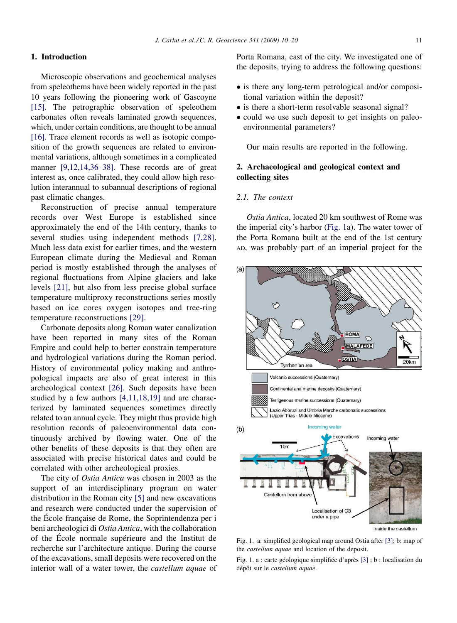#### <span id="page-2-0"></span>1. Introduction

Microscopic observations and geochemical analyses from speleothems have been widely reported in the past 10 years following the pioneering work of Gascoyne [\[15\]](#page-11-0). The petrographic observation of speleothem carbonates often reveals laminated growth sequences, which, under certain conditions, are thought to be annual [\[16\]](#page-11-0). Trace element records as well as isotopic composition of the growth sequences are related to environmental variations, although sometimes in a complicated manner [\[9,12,14,36](#page-10-0)–38]. These records are of great interest as, once calibrated, they could allow high resolution interannual to subannual descriptions of regional past climatic changes.

Reconstruction of precise annual temperature records over West Europe is established since approximately the end of the 14th century, thanks to several studies using independent methods [\[7,28\].](#page-10-0) Much less data exist for earlier times, and the western European climate during the Medieval and Roman period is mostly established through the analyses of regional fluctuations from Alpine glaciers and lake levels [\[21\]](#page-11-0), but also from less precise global surface temperature multiproxy reconstructions series mostly based on ice cores oxygen isotopes and tree-ring temperature reconstructions [\[29\]](#page-11-0).

Carbonate deposits along Roman water canalization have been reported in many sites of the Roman Empire and could help to better constrain temperature and hydrological variations during the Roman period. History of environmental policy making and anthropological impacts are also of great interest in this archeological context [\[26\]](#page-11-0). Such deposits have been studied by a few authors [\[4,11,18,19\]](#page-10-0) and are characterized by laminated sequences sometimes directly related to an annual cycle. They might thus provide high resolution records of paleoenvironmental data continuously archived by flowing water. One of the other benefits of these deposits is that they often are associated with precise historical dates and could be correlated with other archeological proxies.

The city of Ostia Antica was chosen in 2003 as the support of an interdisciplinary program on water distribution in the Roman city [\[5\]](#page-10-0) and new excavations and research were conducted under the supervision of the École française de Rome, the Soprintendenza per i beni archeologici di Ostia Antica, with the collaboration of the École normale supérieure and the Institut de recherche sur l'architecture antique. During the course of the excavations, small deposits were recovered on the interior wall of a water tower, the castellum aquae of Porta Romana, east of the city. We investigated one of the deposits, trying to address the following questions:

- is there any long-term petrological and/or compositional variation within the deposit?
- is there a short-term resolvable seasonal signal?
- could we use such deposit to get insights on paleoenvironmental parameters?

Our main results are reported in the following.

#### 2. Archaeological and geological context and collecting sites

#### 2.1. The context

Ostia Antica, located 20 km southwest of Rome was the imperial city's harbor (Fig. 1a). The water tower of the Porta Romana built at the end of the 1st century AD, was probably part of an imperial project for the



Fig. 1. a: simplified geological map around Ostia after [\[3\]](#page-10-0); b: map of the castellum aquae and location of the deposit.

Fig. 1. a : carte géologique simplifiée d'après [\[3\]](#page-10-0) ; b : localisation du dépôt sur le castellum aquae.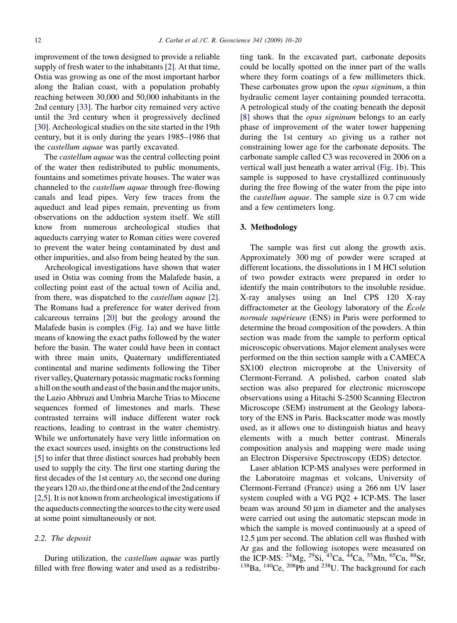improvement of the town designed to provide a reliable supply of fresh water to the inhabitants [\[2\]](#page-10-0). At that time, Ostia was growing as one of the most important harbor along the Italian coast, with a population probably reaching between 30,000 and 50,000 inhabitants in the 2nd century [\[33\]](#page-11-0). The harbor city remained very active until the 3rd century when it progressively declined [\[30\].](#page-11-0) Archeological studies on the site started in the 19th century, but it is only during the years 1985–1986 that the castellum aquae was partly excavated.

The *castellum aquae* was the central collecting point of the water then redistributed to public monuments, fountains and sometimes private houses. The water was channeled to the castellum aquae through free-flowing canals and lead pipes. Very few traces from the aqueduct and lead pipes remain, preventing us from observations on the adduction system itself. We still know from numerous archeological studies that aqueducts carrying water to Roman cities were covered to prevent the water being contaminated by dust and other impurities, and also from being heated by the sun.

Archeological investigations have shown that water used in Ostia was coming from the Malafede basin, a collecting point east of the actual town of Acilia and, from there, was dispatched to the castellum aquae [\[2\].](#page-10-0) The Romans had a preference for water derived from calcareous terrains [\[20\]](#page-11-0) but the geology around the Malafede basin is complex ([Fig. 1](#page-2-0)a) and we have little means of knowing the exact paths followed by the water before the basin. The water could have been in contact with three main units, Quaternary undifferentiated continental and marine sediments following the Tiber river valley, Quaternary potassic magmatic rocks forming a hill on the south and east of the basin and the major units, the Lazio Abbruzi and Umbria Marche Trias to Miocene sequences formed of limestones and marls. These contrasted terrains will induce different water rock reactions, leading to contrast in the water chemistry. While we unfortunately have very little information on the exact sources used, insights on the constructions led [\[5\]](#page-10-0) to infer that three distinct sources had probably been used to supply the city. The first one starting during the first decades of the 1st century AD, the second one during the years 120 AD, the third one at the end of the 2nd century [\[2,5\].](#page-10-0) It is not known from archeological investigations if the aqueducts connecting the sources to the city were used at some point simultaneously or not.

#### 2.2. The deposit

During utilization, the castellum aquae was partly filled with free flowing water and used as a redistribu-

ting tank. In the excavated part, carbonate deposits could be locally spotted on the inner part of the walls where they form coatings of a few millimeters thick. These carbonates grow upon the *opus signinum*, a thin hydraulic cement layer containing pounded terracotta. A petrological study of the coating beneath the deposit [\[8\]](#page-10-0) shows that the *opus signinum* belongs to an early phase of improvement of the water tower happening during the 1st century AD giving us a rather not constraining lower age for the carbonate deposits. The carbonate sample called C3 was recovered in 2006 on a vertical wall just beneath a water arrival ([Fig. 1](#page-2-0)b). This sample is supposed to have crystallized continuously during the free flowing of the water from the pipe into the castellum aquae. The sample size is 0.7 cm wide and a few centimeters long.

#### 3. Methodology

The sample was first cut along the growth axis. Approximately 300 mg of powder were scraped at different locations, the dissolutions in 1 M HCl solution of two powder extracts were prepared in order to identify the main contributors to the insoluble residue. X-ray analyses using an Inel CPS 120 X-ray diffractometer at the Geology laboratory of the École normale supérieure (ENS) in Paris were performed to determine the broad composition of the powders. A thin section was made from the sample to perform optical microscopic observations. Major element analyses were performed on the thin section sample with a CAMECA SX100 electron microprobe at the University of Clermont-Ferrand. A polished, carbon coated slab section was also prepared for electronic microscope observations using a Hitachi S-2500 Scanning Electron Microscope (SEM) instrument at the Geology laboratory of the ENS in Paris. Backscatter mode was mostly used, as it allows one to distinguish hiatus and heavy elements with a much better contrast. Minerals composition analysis and mapping were made using an Electron Dispersive Spectroscopy (EDS) detector.

Laser ablation ICP-MS analyses were performed in the Laboratoire magmas et volcans, University of Clermont-Ferrand (France) using a 266 nm UV laser system coupled with a VG PQ2 + ICP-MS. The laser beam was around  $50 \mu m$  in diameter and the analyses were carried out using the automatic stepscan mode in which the sample is moved continuously at a speed of  $12.5 \mu m$  per second. The ablation cell was flushed with Ar gas and the following isotopes were measured on the ICP-MS:  $^{24}Mg$ ,  $^{29}Si$ ,  $^{43}Ca$ ,  $^{44}Ca$ ,  $^{55}Mn$ ,  $^{65}Cu$ ,  $^{88}Sr$ ,  $138$ Ba,  $140$ Ce,  $208$ Pb and  $238$ U. The background for each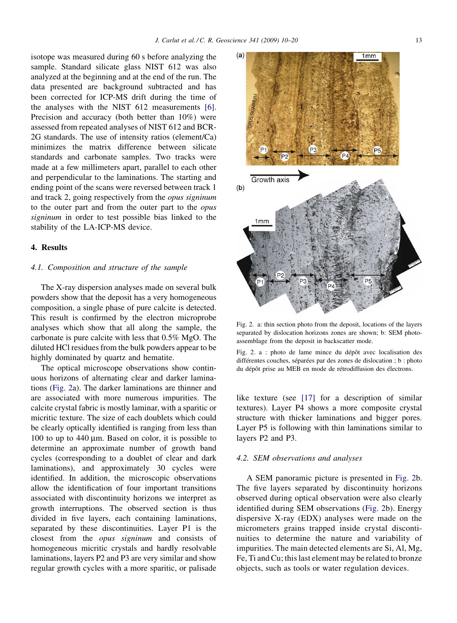isotope was measured during 60 s before analyzing the sample. Standard silicate glass NIST 612 was also analyzed at the beginning and at the end of the run. The data presented are background subtracted and has been corrected for ICP-MS drift during the time of the analyses with the NIST 612 measurements [\[6\].](#page-10-0) Precision and accuracy (both better than 10%) were assessed from repeated analyses of NIST 612 and BCR-2G standards. The use of intensity ratios (element/Ca) minimizes the matrix difference between silicate standards and carbonate samples. Two tracks were made at a few millimeters apart, parallel to each other and perpendicular to the laminations. The starting and ending point of the scans were reversed between track 1 and track 2, going respectively from the opus signinum to the outer part and from the outer part to the opus signinum in order to test possible bias linked to the stability of the LA-ICP-MS device.

#### 4. Results

#### 4.1. Composition and structure of the sample

The X-ray dispersion analyses made on several bulk powders show that the deposit has a very homogeneous composition, a single phase of pure calcite is detected. This result is confirmed by the electron microprobe analyses which show that all along the sample, the carbonate is pure calcite with less that 0.5% MgO. The diluted HCl residues from the bulk powders appear to be highly dominated by quartz and hematite.

The optical microscope observations show continuous horizons of alternating clear and darker laminations (Fig. 2a). The darker laminations are thinner and are associated with more numerous impurities. The calcite crystal fabric is mostly laminar, with a sparitic or micritic texture. The size of each doublets which could be clearly optically identified is ranging from less than 100 to up to  $440 \mu m$ . Based on color, it is possible to determine an approximate number of growth band cycles (corresponding to a doublet of clear and dark laminations), and approximately 30 cycles were identified. In addition, the microscopic observations allow the identification of four important transitions associated with discontinuity horizons we interpret as growth interruptions. The observed section is thus divided in five layers, each containing laminations, separated by these discontinuities. Layer P1 is the closest from the opus signinum and consists of homogeneous micritic crystals and hardly resolvable laminations, layers P2 and P3 are very similar and show regular growth cycles with a more sparitic, or palisade



Fig. 2. a: thin section photo from the deposit, locations of the layers separated by dislocation horizons zones are shown; b: SEM photoassemblage from the deposit in backscatter mode.

Fig. 2. a : photo de lame mince du dépôt avec localisation des différentes couches, séparées par des zones de dislocation ; b : photo du dépôt prise au MEB en mode de rétrodiffusion des électrons.

like texture (see [\[17\]](#page-11-0) for a description of similar textures). Layer P4 shows a more composite crystal structure with thicker laminations and bigger pores. Layer P5 is following with thin laminations similar to layers P2 and P3.

#### 4.2. SEM observations and analyses

A SEM panoramic picture is presented in Fig. 2b. The five layers separated by discontinuity horizons observed during optical observation were also clearly identified during SEM observations (Fig. 2b). Energy dispersive X-ray (EDX) analyses were made on the micrometers grains trapped inside crystal discontinuities to determine the nature and variability of impurities. The main detected elements are Si, Al, Mg, Fe, Ti and Cu; this last element may be related to bronze objects, such as tools or water regulation devices.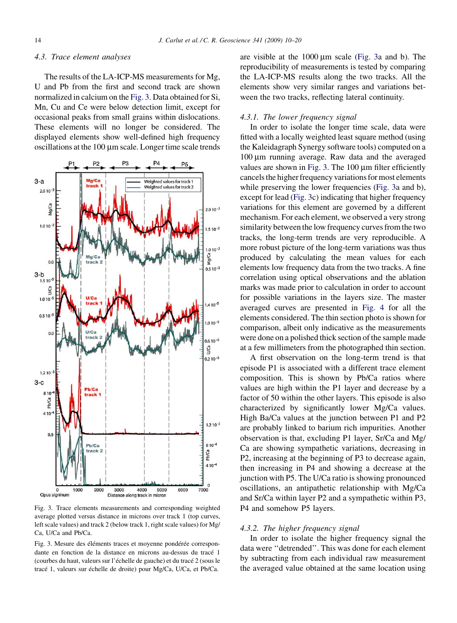#### <span id="page-5-0"></span>4.3. Trace element analyses

The results of the LA-ICP-MS measurements for Mg, U and Pb from the first and second track are shown normalized in calcium on the Fig. 3. Data obtained for Si, Mn, Cu and Ce were below detection limit, except for occasional peaks from small grains within dislocations. These elements will no longer be considered. The displayed elements show well-defined high frequency oscillations at the 100 µm scale. Longer time scale trends



Fig. 3. Trace elements measurements and corresponding weighted average plotted versus distance in microns over track 1 (top curves, left scale values) and track 2 (below track 1, right scale values) for Mg/ Ca, U/Ca and Pb/Ca.

Fig. 3. Mesure des éléments traces et moyenne pondérée correspondante en fonction de la distance en microns au-dessus du tracé 1 (courbes du haut, valeurs sur l'échelle de gauche) et du tracé 2 (sous le tracé 1, valeurs sur échelle de droite) pour Mg/Ca, U/Ca, et Pb/Ca.

are visible at the  $1000 \mu m$  scale (Fig. 3a and b). The reproducibility of measurements is tested by comparing the LA-ICP-MS results along the two tracks. All the elements show very similar ranges and variations between the two tracks, reflecting lateral continuity.

#### 4.3.1. The lower frequency signal

In order to isolate the longer time scale, data were fitted with a locally weighted least square method (using the Kaleidagraph Synergy software tools) computed on a  $100 \mu m$  running average. Raw data and the averaged values are shown in Fig. 3. The  $100 \mu m$  filter efficiently cancels the higher frequency variations for most elements while preserving the lower frequencies (Fig. 3a and b), except for lead (Fig. 3c) indicating that higher frequency variations for this element are governed by a different mechanism. For each element, we observed a very strong similarity between the low frequency curves from the two tracks, the long-term trends are very reproducible. A more robust picture of the long-term variations was thus produced by calculating the mean values for each elements low frequency data from the two tracks. A fine correlation using optical observations and the ablation marks was made prior to calculation in order to account for possible variations in the layers size. The master averaged curves are presented in [Fig. 4](#page-6-0) for all the elements considered. The thin section photo is shown for comparison, albeit only indicative as the measurements were done on a polished thick section of the sample made at a few millimeters from the photographed thin section.

A first observation on the long-term trend is that episode P1 is associated with a different trace element composition. This is shown by Pb/Ca ratios where values are high within the P1 layer and decrease by a factor of 50 within the other layers. This episode is also characterized by significantly lower Mg/Ca values. High Ba/Ca values at the junction between P1 and P2 are probably linked to barium rich impurities. Another observation is that, excluding P1 layer, Sr/Ca and Mg/ Ca are showing sympathetic variations, decreasing in P2, increasing at the beginning of P3 to decrease again, then increasing in P4 and showing a decrease at the junction with P5. The U/Ca ratio is showing pronounced oscillations, an antipathetic relationship with Mg/Ca and Sr/Ca within layer P2 and a sympathetic within P3, P4 and somehow P5 layers.

#### 4.3.2. The higher frequency signal

In order to isolate the higher frequency signal the data were ''detrended''. This was done for each element by subtracting from each individual raw measurement the averaged value obtained at the same location using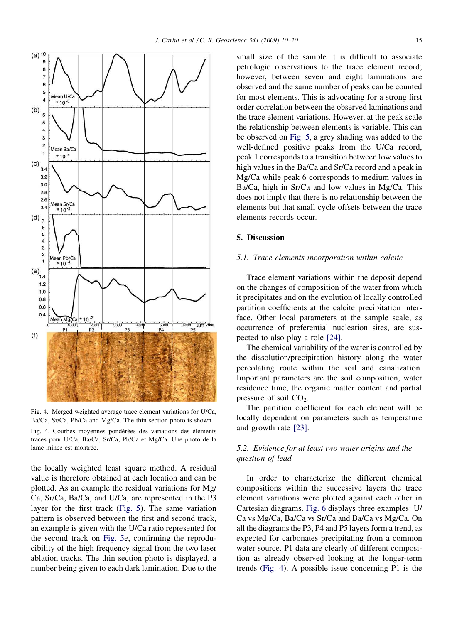<span id="page-6-0"></span>

Fig. 4. Merged weighted average trace element variations for U/Ca, Ba/Ca, Sr/Ca, Pb/Ca and Mg/Ca. The thin section photo is shown. Fig. 4. Courbes moyennes pondérées des variations des éléments traces pour U/Ca, Ba/Ca, Sr/Ca, Pb/Ca et Mg/Ca. Une photo de la lame mince est montrée.

the locally weighted least square method. A residual value is therefore obtained at each location and can be plotted. As an example the residual variations for Mg/ Ca, Sr/Ca, Ba/Ca, and U/Ca, are represented in the P3 layer for the first track [\(Fig. 5](#page-7-0)). The same variation pattern is observed between the first and second track, an example is given with the U/Ca ratio represented for the second track on [Fig. 5](#page-7-0)e, confirming the reproducibility of the high frequency signal from the two laser ablation tracks. The thin section photo is displayed, a number being given to each dark lamination. Due to the small size of the sample it is difficult to associate petrologic observations to the trace element record; however, between seven and eight laminations are observed and the same number of peaks can be counted for most elements. This is advocating for a strong first order correlation between the observed laminations and the trace element variations. However, at the peak scale the relationship between elements is variable. This can be observed on [Fig. 5,](#page-7-0) a grey shading was added to the well-defined positive peaks from the U/Ca record, peak 1 corresponds to a transition between low values to high values in the Ba/Ca and Sr/Ca record and a peak in Mg/Ca while peak 6 corresponds to medium values in Ba/Ca, high in Sr/Ca and low values in Mg/Ca. This does not imply that there is no relationship between the elements but that small cycle offsets between the trace elements records occur.

#### 5. Discussion

#### 5.1. Trace elements incorporation within calcite

Trace element variations within the deposit depend on the changes of composition of the water from which it precipitates and on the evolution of locally controlled partition coefficients at the calcite precipitation interface. Other local parameters at the sample scale, as occurrence of preferential nucleation sites, are suspected to also play a role [\[24\].](#page-11-0)

The chemical variability of the water is controlled by the dissolution/precipitation history along the water percolating route within the soil and canalization. Important parameters are the soil composition, water residence time, the organic matter content and partial pressure of soil  $CO<sub>2</sub>$ .

The partition coefficient for each element will be locally dependent on parameters such as temperature and growth rate [\[23\]](#page-11-0).

#### 5.2. Evidence for at least two water origins and the question of lead

In order to characterize the different chemical compositions within the successive layers the trace element variations were plotted against each other in Cartesian diagrams. [Fig. 6](#page-8-0) displays three examples: U/ Ca vs Mg/Ca, Ba/Ca vs Sr/Ca and Ba/Ca vs Mg/Ca. On all the diagrams the P3, P4 and P5 layers form a trend, as expected for carbonates precipitating from a common water source. P1 data are clearly of different composition as already observed looking at the longer-term trends (Fig. 4). A possible issue concerning P1 is the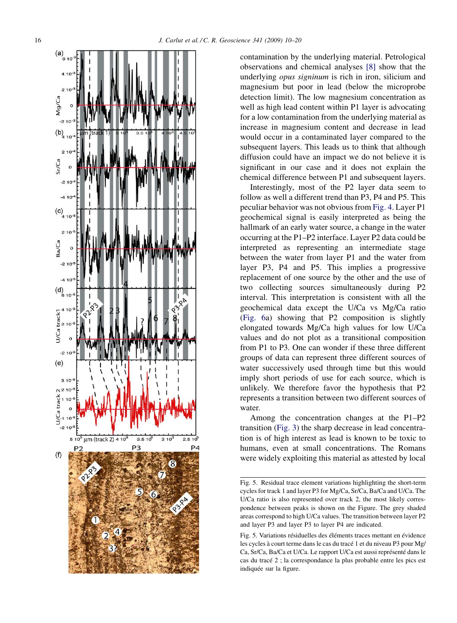<span id="page-7-0"></span>

contamination by the underlying material. Petrological observations and chemical analyses [\[8\]](#page-10-0) show that the underlying *opus signinum* is rich in iron, silicium and magnesium but poor in lead (below the microprobe detection limit). The low magnesium concentration as well as high lead content within P1 layer is advocating for a low contamination from the underlying material as increase in magnesium content and decrease in lead would occur in a contaminated layer compared to the subsequent layers. This leads us to think that although diffusion could have an impact we do not believe it is significant in our case and it does not explain the chemical difference between P1 and subsequent layers.

Interestingly, most of the P2 layer data seem to follow as well a different trend than P3, P4 and P5. This peculiar behavior was not obvious from [Fig. 4](#page-6-0). Layer P1 geochemical signal is easily interpreted as being the hallmark of an early water source, a change in the water occurring at the P1 –P2 interface. Layer P2 data could be interpreted as representing an intermediate stage between the water from layer P1 and the water from layer P3, P4 and P5. This implies a progressive replacement of one source by the other and the use of two collecting sources simultaneously during P2 interval. This interpretation is consistent with all the geochemical data except the U/Ca vs Mg/Ca ratio ([Fig. 6a](#page-8-0)) showing that P2 composition is slightly elongated towards Mg/Ca high values for low U/Ca values and do not plot as a transitional composition from P1 to P3. One can wonder if these three different groups of data can represent three different sources of water successively used through time but this would imply short periods of use for each source, which is unlikely. We therefore favor the hypothesis that P2 represents a transition between two different sources of water.

Among the concentration changes at the P1 –P2 transition ([Fig. 3](#page-5-0)) the sharp decrease in lead concentration is of high interest as lead is known to be toxic to humans, even at small concentrations. The Romans were widely exploiting this material as attested by local

Fig. 5. Residual trace element variations highlighting the short-term cycles for track 1 and layer P3 for Mg/Ca, Sr/Ca, Ba/Ca and U/Ca. The U/Ca ratio is also represented over track 2, the most likely correspondence between peaks is shown on the Figure. The grey shaded areas correspond to high U/Ca values. The transition between layer P2 and layer P3 and layer P3 to layer P4 are indicated.

Fig. 5. Variations résiduelles des éléments traces mettant en évidence les cycles à court terme dans le cas du tracé 1 et du niveau P3 pour Mg/ Ca, Sr/Ca, Ba/Ca et U/Ca. Le rapport U/Ca est aussi représenté dans le cas du tracé 2 ; la correspondance la plus probable entre les pics est indiquée sur la figure.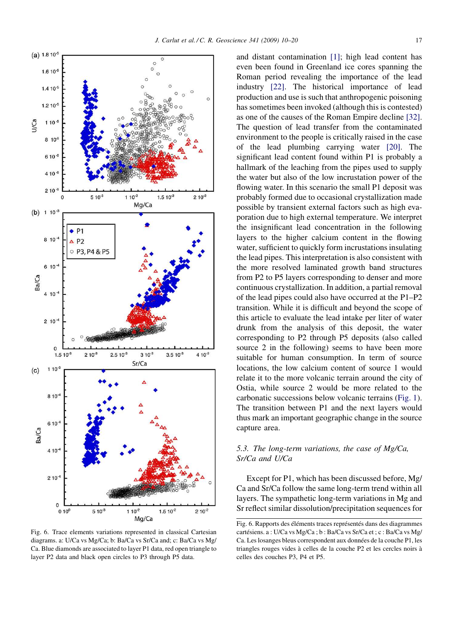

<span id="page-8-0"></span>

Fig. 6. Trace elements variations represented in classical Cartesian diagrams. a: U/Ca vs Mg/Ca; b: Ba/Ca vs Sr/Ca and; c: Ba/Ca vs Mg/ Ca. Blue diamonds are associated to layer P1 data, red open triangle to layer P2 data and black open circles to P3 through P5 data.

and distant contamination [\[1\]](#page-10-0); high lead content has even been found in Greenland ice cores spanning the Roman period revealing the importance of the lead industry [\[22\]](#page-11-0). The historical importance of lead production and use is such that anthropogenic poisoning has sometimes been invoked (although this is contested) as one of the causes of the Roman Empire decline [\[32\].](#page-11-0) The question of lead transfer from the contaminated environment to the people is critically raised in the case of the lead plumbing carrying water [\[20\]](#page-11-0). The significant lead content found within P1 is probably a hallmark of the leaching from the pipes used to supply the water but also of the low incrustation power of the flowing water. In this scenario the small P1 deposit was probably formed due to occasional crystallization made possible by transient external factors such as high evaporation due to high external temperature. We interpret the insignificant lead concentration in the following layers to the higher calcium content in the flowing water, sufficient to quickly form incrustations insulating the lead pipes. This interpretation is also consistent with the more resolved laminated growth band structures from P2 to P5 layers corresponding to denser and more continuous crystallization. In addition, a partial removal of the lead pipes could also have occurred at the P1–P2 transition. While it is difficult and beyond the scope of this article to evaluate the lead intake per liter of water drunk from the analysis of this deposit, the water corresponding to P2 through P5 deposits (also called source 2 in the following) seems to have been more suitable for human consumption. In term of source locations, the low calcium content of source 1 would relate it to the more volcanic terrain around the city of Ostia, while source 2 would be more related to the carbonatic successions below volcanic terrains [\(Fig. 1](#page-2-0)). The transition between P1 and the next layers would thus mark an important geographic change in the source capture area.

#### 5.3. The long-term variations, the case of Mg/Ca, Sr/Ca and U/Ca

Except for P1, which has been discussed before, Mg/ Ca and Sr/Ca follow the same long-term trend within all layers. The sympathetic long-term variations in Mg and Sr reflect similar dissolution/precipitation sequences for

Fig. 6. Rapports des éléments traces représentés dans des diagrammes cartésiens. a : U/Ca vs Mg/Ca ; b : Ba/Ca vs Sr/Ca et ; c : Ba/Ca vs Mg/ Ca. Les losanges bleus correspondent aux données de la couche P1, les triangles rouges vides à celles de la couche P2 et les cercles noirs à celles des couches P3, P4 et P5.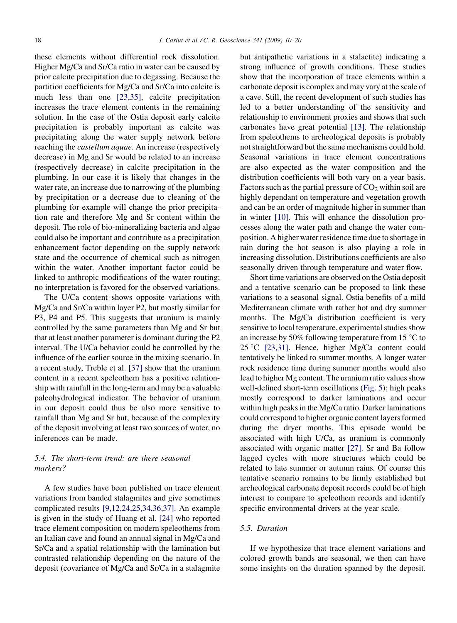these elements without differential rock dissolution. Higher Mg/Ca and Sr/Ca ratio in water can be caused by prior calcite precipitation due to degassing. Because the partition coefficients for Mg/Ca and Sr/Ca into calcite is much less than one [\[23,35\]](#page-11-0), calcite precipitation increases the trace element contents in the remaining solution. In the case of the Ostia deposit early calcite precipitation is probably important as calcite was precipitating along the water supply network before reaching the castellum aquae. An increase (respectively decrease) in Mg and Sr would be related to an increase (respectively decrease) in calcite precipitation in the plumbing. In our case it is likely that changes in the water rate, an increase due to narrowing of the plumbing by precipitation or a decrease due to cleaning of the plumbing for example will change the prior precipitation rate and therefore Mg and Sr content within the deposit. The role of bio-mineralizing bacteria and algae could also be important and contribute as a precipitation enhancement factor depending on the supply network state and the occurrence of chemical such as nitrogen within the water. Another important factor could be linked to anthropic modifications of the water routing; no interpretation is favored for the observed variations.

The U/Ca content shows opposite variations with Mg/Ca and Sr/Ca within layer P2, but mostly similar for P3, P4 and P5. This suggests that uranium is mainly controlled by the same parameters than Mg and Sr but that at least another parameter is dominant during the P2 interval. The U/Ca behavior could be controlled by the influence of the earlier source in the mixing scenario. In a recent study, Treble et al. [\[37\]](#page-11-0) show that the uranium content in a recent speleothem has a positive relationship with rainfall in the long-term and may be a valuable paleohydrological indicator. The behavior of uranium in our deposit could thus be also more sensitive to rainfall than Mg and Sr but, because of the complexity of the deposit involving at least two sources of water, no inferences can be made.

#### 5.4. The short-term trend: are there seasonal markers?

A few studies have been published on trace element variations from banded stalagmites and give sometimes complicated results [\[9,12,24,25,34,36,37\]](#page-10-0). An example is given in the study of Huang et al. [\[24\]](#page-11-0) who reported trace element composition on modern speleothems from an Italian cave and found an annual signal in Mg/Ca and Sr/Ca and a spatial relationship with the lamination but contrasted relationship depending on the nature of the deposit (covariance of Mg/Ca and Sr/Ca in a stalagmite

but antipathetic variations in a stalactite) indicating a strong influence of growth conditions. These studies show that the incorporation of trace elements within a carbonate deposit is complex and may vary at the scale of a cave. Still, the recent development of such studies has led to a better understanding of the sensitivity and relationship to environment proxies and shows that such carbonates have great potential [\[13\]](#page-10-0). The relationship from speleothems to archeological deposits is probably not straightforward but the same mechanisms could hold. Seasonal variations in trace element concentrations are also expected as the water composition and the distribution coefficients will both vary on a year basis. Factors such as the partial pressure of  $CO<sub>2</sub>$  within soil are highly dependant on temperature and vegetation growth and can be an order of magnitude higher in summer than in winter [\[10\].](#page-10-0) This will enhance the dissolution processes along the water path and change the water composition. A higher water residence time due to shortage in rain during the hot season is also playing a role in increasing dissolution. Distributions coefficients are also seasonally driven through temperature and water flow.

Short time variations are observed on the Ostia deposit and a tentative scenario can be proposed to link these variations to a seasonal signal. Ostia benefits of a mild Mediterranean climate with rather hot and dry summer months. The Mg/Ca distribution coefficient is very sensitive to local temperature, experimental studies show an increase by 50% following temperature from 15  $\degree$ C to  $25^{\circ}$ C [\[23,31\].](#page-11-0) Hence, higher Mg/Ca content could tentatively be linked to summer months. A longer water rock residence time during summer months would also lead to higher Mg content. The uranium ratio values show well-defined short-term oscillations ([Fig. 5\)](#page-7-0); high peaks mostly correspond to darker laminations and occur within high peaks in the Mg/Ca ratio. Darker laminations could correspond to higher organic content layers formed during the dryer months. This episode would be associated with high U/Ca, as uranium is commonly associated with organic matter [\[27\]](#page-11-0). Sr and Ba follow lagged cycles with more structures which could be related to late summer or autumn rains. Of course this tentative scenario remains to be firmly established but archeological carbonate deposit records could be of high interest to compare to speleothem records and identify specific environmental drivers at the year scale.

#### 5.5. Duration

If we hypothesize that trace element variations and colored growth bands are seasonal, we then can have some insights on the duration spanned by the deposit.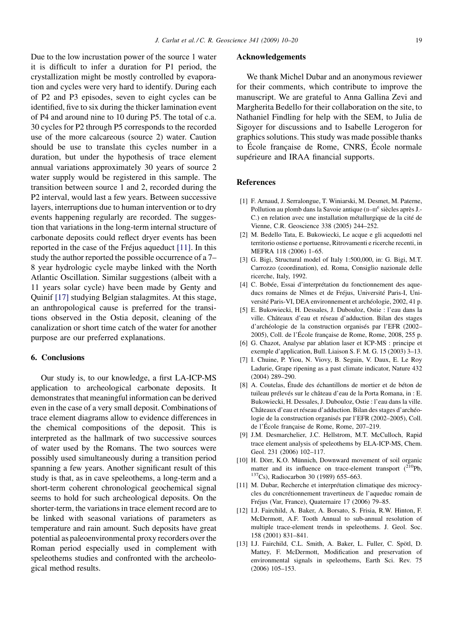<span id="page-10-0"></span>Due to the low incrustation power of the source 1 water it is difficult to infer a duration for P1 period, the crystallization might be mostly controlled by evaporation and cycles were very hard to identify. During each of P2 and P3 episodes, seven to eight cycles can be identified, five to six during the thicker lamination event of P4 and around nine to 10 during P5. The total of c.a. 30 cycles for P2 through P5 corresponds to the recorded use of the more calcareous (source 2) water. Caution should be use to translate this cycles number in a duration, but under the hypothesis of trace element annual variations approximately 30 years of source 2 water supply would be registered in this sample. The transition between source 1 and 2, recorded during the P2 interval, would last a few years. Between successive layers, interruptions due to human intervention or to dry events happening regularly are recorded. The suggestion that variations in the long-term internal structure of carbonate deposits could reflect dryer events has been reported in the case of the Fréjus aqueduct [11]. In this study the author reported the possible occurrence of a 7– 8 year hydrologic cycle maybe linked with the North Atlantic Oscillation. Similar suggestions (albeit with a 11 years solar cycle) have been made by Genty and Quinif [\[17\]](#page-11-0) studying Belgian stalagmites. At this stage, an anthropological cause is preferred for the transitions observed in the Ostia deposit, cleaning of the canalization or short time catch of the water for another purpose are our preferred explanations.

#### 6. Conclusions

Our study is, to our knowledge, a first LA-ICP-MS application to archeological carbonate deposits. It demonstrates that meaningful information can be derived even in the case of a very small deposit. Combinations of trace element diagrams allow to evidence differences in the chemical compositions of the deposit. This is interpreted as the hallmark of two successive sources of water used by the Romans. The two sources were possibly used simultaneously during a transition period spanning a few years. Another significant result of this study is that, as in cave speleothems, a long-term and a short-term coherent chronological geochemical signal seems to hold for such archeological deposits. On the shorter-term, the variations in trace element record are to be linked with seasonal variations of parameters as temperature and rain amount. Such deposits have great potential as paleoenvironmental proxy recorders over the Roman period especially used in complement with speleothems studies and confronted with the archeological method results.

#### Acknowledgements

We thank Michel Dubar and an anonymous reviewer for their comments, which contribute to improve the manuscript. We are grateful to Anna Gallina Zevi and Margherita Bedello for their collaboration on the site, to Nathaniel Findling for help with the SEM, to Julia de Sigoyer for discussions and to Isabelle Lerogeron for graphics solutions. This study was made possible thanks to École française de Rome, CNRS, École normale supérieure and IRAA financial supports.

#### **References**

- [1] F. Arnaud, J. Serralongue, T. Winiarski, M. Desmet, M. Paterne, Pollution au plomb dans la Savoie antique (II-III<sup>e</sup> siècles après J.-C.) en relation avec une installation métallurgique de la cité de Vienne, C.R. Geoscience 338 (2005) 244–252.
- [2] M. Bedello Tata, E. Bukowiecki, Le acque e gli acquedotti nel territorio ostiense e portuense, Ritrovamenti e ricerche recenti, in MEFRA 118 (2006) 1–65.
- [3] G. Bigi, Structural model of Italy 1:500,000, in: G. Bigi, M.T. Carrozzo (coordination), ed. Roma, Consiglio nazionale delle ricerche, Italy, 1992.
- [4] C. Bobée, Essai d'interprétation du fonctionnement des aqueducs romains de Nîmes et de Fréjus, Université Paris-I, Université Paris-VI, DEA environnement et archéologie, 2002, 41 p.
- [5] E. Bukowiecki, H. Dessales, J. Dubouloz, Ostie : l'eau dans la ville. Châteaux d'eau et réseau d'adduction. Bilan des stages d'archéologie de la construction organisés par l'EFR (2002– 2005), Coll. de l'École française de Rome, Rome, 2008, 255 p.
- [6] G. Chazot, Analyse par ablation laser et ICP-MS : principe et exemple d'application, Bull. Liaison S. F. M. G. 15 (2003) 3–13.
- [7] I. Chuine, P. Yiou, N. Viovy, B. Seguin, V. Daux, E. Le Roy Ladurie, Grape ripening as a past climate indicator, Nature 432 (2004) 289–290.
- [8] A. Coutelas, Étude des échantillons de mortier et de béton de tuileau prélevés sur le château d'eau de la Porta Romana, in : E. Bukowiecki, H. Dessales, J. Dubouloz, Ostie : l'eau dans la ville. Châteaux d'eau et réseau d'adduction. Bilan des stages d'archéologie de la construction organisés par l'EFR (2002–2005), Coll. de l'École française de Rome, Rome, 207–219.
- [9] J.M. Desmarchelier, J.C. Hellstrom, M.T. McCulloch, Rapid trace element analysis of speleothems by ELA-ICP-MS, Chem. Geol. 231 (2006) 102–117.
- [10] H. Dörr, K.O. Münnich, Downward movement of soil organic matter and its influence on trace-element transport  $(^{210}Pb)$ , <sup>137</sup>Cs), Radiocarbon 30 (1989) 655–663.
- [11] M. Dubar, Recherche et interprétation climatique des microcycles du concrétionnement travertineux de l'aqueduc romain de Fréjus (Var, France), Quaternaire 17 (2006) 79–85.
- [12] I.J. Fairchild, A. Baker, A. Borsato, S. Frisia, R.W. Hinton, F. McDermott, A.F. Tooth Annual to sub-annual resolution of multiple trace-element trends in speleothems. J. Geol. Soc. 158 (2001) 831–841.
- [13] I.J. Fairchild, C.L. Smith, A. Baker, L. Fuller, C. Spötl, D. Mattey, F. McDermott, Modification and preservation of environmental signals in speleothems, Earth Sci. Rev. 75 (2006) 105–153.